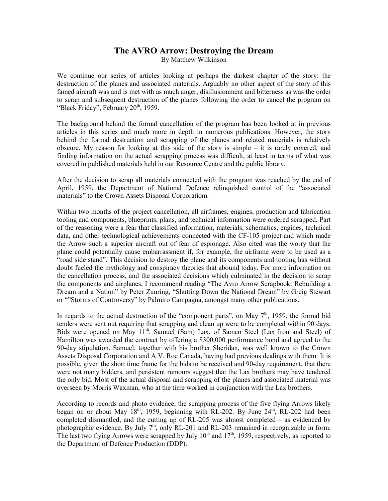## **The AVRO Arrow: Destroying the Dream**

By Matthew Wilkinson

We continue our series of articles looking at perhaps the darkest chapter of the story: the destruction of the planes and associated materials. Arguably no other aspect of the story of this famed aircraft was and is met with as much anger, disillusionment and bitterness as was the order to scrap and subsequent destruction of the planes following the order to cancel the program on "Black Friday", February 20<sup>th</sup>, 1959.

The background behind the formal cancellation of the program has been looked at in previous articles in this series and much more in depth in numerous publications. However, the story behind the formal destruction and scrapping of the planes and related materials is relatively obscure. My reason for looking at this side of the story is simple – it is rarely covered, and finding information on the actual scrapping process was difficult, at least in terms of what was covered in published materials held in our Resource Centre and the public library.

After the decision to scrap all materials connected with the program was reached by the end of April, 1959, the Department of National Defence relinquished control of the "associated materials" to the Crown Assets Disposal Corporatiom.

Within two months of the project cancellation, all airframes, engines, production and fabrication tooling and components, blueprints, plans, and technical information were ordered scrapped. Part of the reasoning were a fear that classified information, materials, schematics, engines, technical data, and other technological achievements connected with the CF-105 project and which made the Arrow such a superior aircraft out of fear of espionage. Also cited was the worry that the plane could potentially cause embarrassment if, for example, the airframe were to be used as a "road side stand". This decision to destroy the plane and its components and tooling has without doubt fueled the mythology and conspiracy theories that abound today. For more information on the cancellation process, and the associated decisions which culminated in the decision to scrap the components and airplanes, I recommend reading "The Avro Arrow Scrapbook: Rebuilding a Dream and a Nation" by Peter Zuuring, "Shutting Down the National Dream" by Greig Stewart or ""Storms of Controversy" by Palmiro Campagna, amongst many other publications.

In regards to the actual destruction of the "component parts", on May  $7<sup>th</sup>$ , 1959, the formal bid tenders were sent out requiring that scrapping and clean up were to be completed within 90 days. Bids were opened on May 11<sup>th</sup>. Samuel (Sam) Lax, of Samco Steel (Lax Iron and Steel) of Hamilton was awarded the contract by offering a \$300,000 performance bond and agreed to the 90-day stipulation. Samuel, together with his brother Sheridan, was well known to the Crown Assets Disposal Corporation and A.V. Roe Canada, having had previous dealings with them. It is possible, given the short time frame for the bids to be received and 90-day requirement, that there were not many bidders, and persistent rumours suggest that the Lax brothers may have tendered the only bid. Most of the actual disposal and scrapping of the planes and associated material was overseen by Morris Waxman, who at the time worked in conjunction with the Lax brothers.

According to records and photo evidence, the scrapping process of the five flying Arrows likely began on or about May  $18^{th}$ , 1959, beginning with RL-202. By June  $24^{th}$ , RL-202 had been completed dismantled, and the cutting up of RL-205 was almost completed – as evidenced by photographic evidence. By July  $7<sup>th</sup>$ , only RL-201 and RL-203 remained in recognizable in form. The last two flying Arrows were scrapped by July  $10^{th}$  and  $17^{th}$ , 1959, respectively, as reported to the Department of Defence Production (DDP).